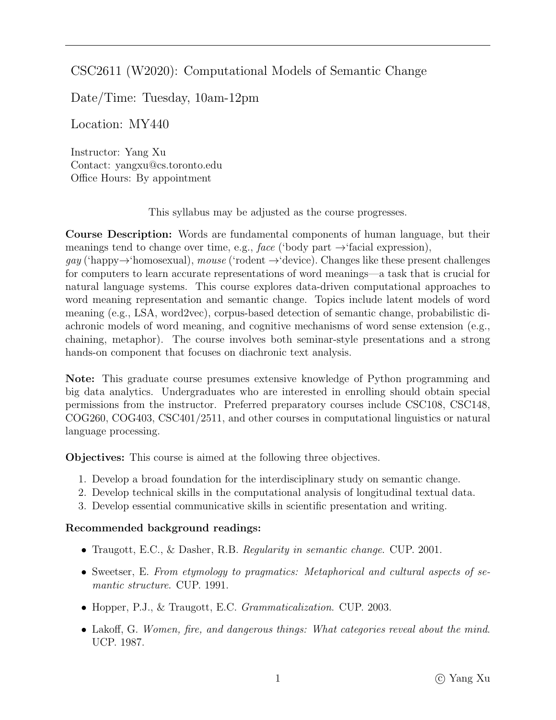## CSC2611 (W2020): Computational Models of Semantic Change

Date/Time: Tuesday, 10am-12pm

Location: MY440

Instructor: Yang Xu Contact: yangxu@cs.toronto.edu Office Hours: By appointment

This syllabus may be adjusted as the course progresses.

Course Description: Words are fundamental components of human language, but their meanings tend to change over time, e.g., face ('body part  $\rightarrow$ 'facial expression),

 $gay$  ('happy $\rightarrow$ 'homosexual), mouse ('rodent  $\rightarrow$ 'device). Changes like these present challenges for computers to learn accurate representations of word meanings—a task that is crucial for natural language systems. This course explores data-driven computational approaches to word meaning representation and semantic change. Topics include latent models of word meaning (e.g., LSA, word2vec), corpus-based detection of semantic change, probabilistic diachronic models of word meaning, and cognitive mechanisms of word sense extension (e.g., chaining, metaphor). The course involves both seminar-style presentations and a strong hands-on component that focuses on diachronic text analysis.

Note: This graduate course presumes extensive knowledge of Python programming and big data analytics. Undergraduates who are interested in enrolling should obtain special permissions from the instructor. Preferred preparatory courses include CSC108, CSC148, COG260, COG403, CSC401/2511, and other courses in computational linguistics or natural language processing.

Objectives: This course is aimed at the following three objectives.

- 1. Develop a broad foundation for the interdisciplinary study on semantic change.
- 2. Develop technical skills in the computational analysis of longitudinal textual data.
- 3. Develop essential communicative skills in scientific presentation and writing.

#### Recommended background readings:

- Traugott, E.C., & Dasher, R.B. Regularity in semantic change. CUP. 2001.
- Sweetser, E. From etymology to pragmatics: Metaphorical and cultural aspects of semantic structure. CUP. 1991.
- Hopper, P.J., & Traugott, E.C. *Grammaticalization*. CUP. 2003.
- Lakoff, G. Women, fire, and dangerous things: What categories reveal about the mind. UCP. 1987.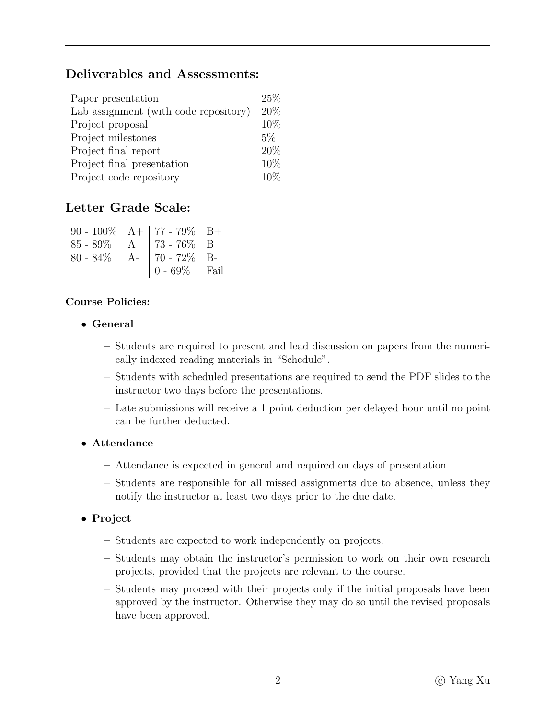# Deliverables and Assessments:

| Paper presentation                    | $25\%$ |
|---------------------------------------|--------|
| Lab assignment (with code repository) | 20%    |
| Project proposal                      | 10%    |
| Project milestones                    | $5\%$  |
| Project final report                  | 20%    |
| Project final presentation            | 10%    |
| Project code repository               | $10\%$ |

## Letter Grade Scale:

| 90 - 100% $A+$ 77 - 79% B+<br>85 - 89% $A$ 73 - 76% B<br>80 - 84% $A-$ 70 - 72% B- |                                                      |  |
|------------------------------------------------------------------------------------|------------------------------------------------------|--|
|                                                                                    |                                                      |  |
|                                                                                    | $\begin{array}{ c} 0.69\% & \text{fail} \end{array}$ |  |

#### Course Policies:

- General
	- Students are required to present and lead discussion on papers from the numerically indexed reading materials in "Schedule".
	- Students with scheduled presentations are required to send the PDF slides to the instructor two days before the presentations.
	- Late submissions will receive a 1 point deduction per delayed hour until no point can be further deducted.

### • Attendance

- Attendance is expected in general and required on days of presentation.
- Students are responsible for all missed assignments due to absence, unless they notify the instructor at least two days prior to the due date.

### • Project

- Students are expected to work independently on projects.
- Students may obtain the instructor's permission to work on their own research projects, provided that the projects are relevant to the course.
- Students may proceed with their projects only if the initial proposals have been approved by the instructor. Otherwise they may do so until the revised proposals have been approved.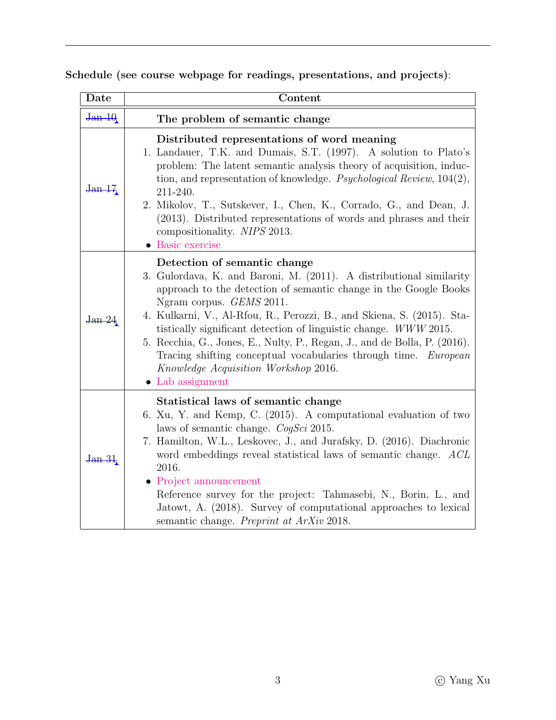Schedule (see course webpage for readings, presentations, and projects):

| Date               | Content                                                                                                                                                                                                                                                                                                                                                                                                                                                                                                                                                              |
|--------------------|----------------------------------------------------------------------------------------------------------------------------------------------------------------------------------------------------------------------------------------------------------------------------------------------------------------------------------------------------------------------------------------------------------------------------------------------------------------------------------------------------------------------------------------------------------------------|
| Jan <sub>10</sub>  | The problem of semantic change                                                                                                                                                                                                                                                                                                                                                                                                                                                                                                                                       |
| J <sub>an</sub> 17 | Distributed representations of word meaning<br>1. Landauer, T.K. and Dumais, S.T. (1997). A solution to Plato's<br>problem: The latent semantic analysis theory of acquisition, induc-<br>tion, and representation of knowledge. <i>Psychological Review</i> , $104(2)$ ,<br>211-240.<br>2. Mikolov, T., Sutskever, I., Chen, K., Corrado, G., and Dean, J.<br>(2013). Distributed representations of words and phrases and their<br>compositionality. NIPS 2013.<br>• Basic exercise                                                                                |
| J <sub>an</sub> 24 | Detection of semantic change<br>3. Gulordava, K. and Baroni, M. (2011). A distributional similarity<br>approach to the detection of semantic change in the Google Books<br>Ngram corpus. <i>GEMS</i> 2011.<br>4. Kulkarni, V., Al-Rfou, R., Perozzi, B., and Skiena, S. (2015). Sta-<br>tistically significant detection of linguistic change. WWW 2015.<br>5. Recchia, G., Jones, E., Nulty, P., Regan, J., and de Bolla, P. (2016).<br>Tracing shifting conceptual vocabularies through time. European<br>Knowledge Acquisition Workshop 2016.<br>• Lab assignment |
| <u>Jan 31</u>      | Statistical laws of semantic change<br>6. Xu, Y. and Kemp, C. (2015). A computational evaluation of two<br>laws of semantic change. $CogSci$ 2015.<br>7. Hamilton, W.L., Leskovec, J., and Jurafsky, D. (2016). Diachronic<br>word embeddings reveal statistical laws of semantic change. ACL<br>2016.<br>$\bullet$ Project announcement<br>Reference survey for the project: Tahmasebi, N., Borin, L., and<br>Jatowt, A. (2018). Survey of computational approaches to lexical<br>semantic change. Preprint at ArXiv 2018.                                          |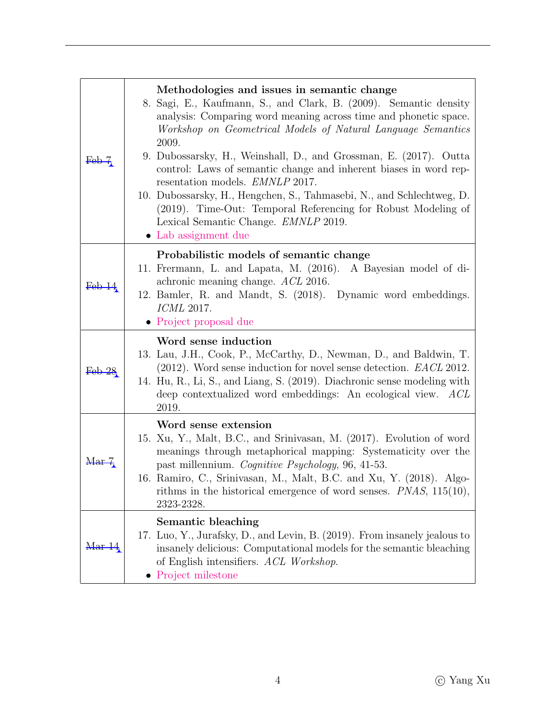| $\text{Feb} - 7$ | Methodologies and issues in semantic change<br>8. Sagi, E., Kaufmann, S., and Clark, B. (2009). Semantic density<br>analysis: Comparing word meaning across time and phonetic space.<br>Workshop on Geometrical Models of Natural Language Semantics<br>2009.<br>9. Dubossarsky, H., Weinshall, D., and Grossman, E. (2017). Outta<br>control: Laws of semantic change and inherent biases in word rep-<br>resentation models. <i>EMNLP</i> 2017.<br>10. Dubossarsky, H., Hengchen, S., Tahmasebi, N., and Schlechtweg, D.<br>(2019). Time-Out: Temporal Referencing for Robust Modeling of<br>Lexical Semantic Change. <i>EMNLP</i> 2019.<br>• Lab assignment due |
|------------------|--------------------------------------------------------------------------------------------------------------------------------------------------------------------------------------------------------------------------------------------------------------------------------------------------------------------------------------------------------------------------------------------------------------------------------------------------------------------------------------------------------------------------------------------------------------------------------------------------------------------------------------------------------------------|
| $\text{Feb}\,14$ | Probabilistic models of semantic change<br>11. Fremann, L. and Lapata, M. (2016). A Bayesian model of di-<br>achronic meaning change. ACL 2016.<br>12. Bamler, R. and Mandt, S. (2018). Dynamic word embeddings.<br>ICML 2017.<br>• Project proposal due                                                                                                                                                                                                                                                                                                                                                                                                           |
|                  | Word sense induction                                                                                                                                                                                                                                                                                                                                                                                                                                                                                                                                                                                                                                               |
| <u>Feb 28</u>    | 13. Lau, J.H., Cook, P., McCarthy, D., Newman, D., and Baldwin, T.<br>$(2012)$ . Word sense induction for novel sense detection. <i>EACL</i> 2012.<br>14. Hu, R., Li, S., and Liang, S. (2019). Diachronic sense modeling with<br>deep contextualized word embeddings: An ecological view. ACL<br>2019.                                                                                                                                                                                                                                                                                                                                                            |
| Mar <sub>7</sub> | Word sense extension<br>15. Xu, Y., Malt, B.C., and Srinivasan, M. (2017). Evolution of word<br>meanings through metaphorical mapping: Systematicity over the<br>past millennium. Cognitive Psychology, 96, 41-53.<br>16. Ramiro, C., Srinivasan, M., Malt, B.C. and Xu, Y. (2018). Algo-<br>rithms in the historical emergence of word senses. $PNAS$ , $115(10)$ ,<br>2323-2328.                                                                                                                                                                                                                                                                                 |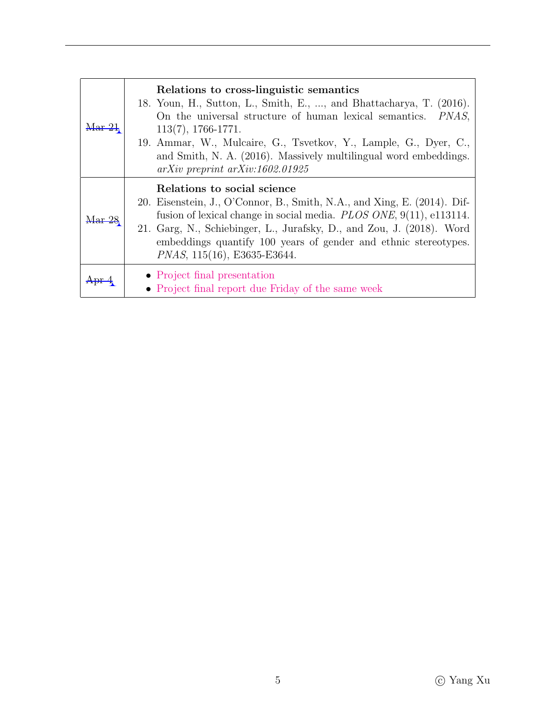| Mar 21         | Relations to cross-linguistic semantics<br>18. Youn, H., Sutton, L., Smith, E., , and Bhattacharya, T. (2016).<br>On the universal structure of human lexical semantics. <i>PNAS</i> ,<br>$113(7), 1766-1771.$<br>19. Ammar, W., Mulcaire, G., Tsvetkov, Y., Lample, G., Dyer, C.,<br>and Smith, N. A. (2016). Massively multilingual word embeddings.<br>$arXiv$ preprint $arXiv:1602.01925$ |
|----------------|-----------------------------------------------------------------------------------------------------------------------------------------------------------------------------------------------------------------------------------------------------------------------------------------------------------------------------------------------------------------------------------------------|
| <u> ۱ar 28</u> | Relations to social science<br>20. Eisenstein, J., O'Connor, B., Smith, N.A., and Xing, E. (2014). Dif-<br>fusion of lexical change in social media. PLOS ONE, 9(11), e113114.<br>21. Garg, N., Schiebinger, L., Jurafsky, D., and Zou, J. (2018). Word<br>embeddings quantify 100 years of gender and ethnic stereotypes.<br>PNAS, 115(16), E3635-E3644.                                     |
|                | • Project final presentation<br>• Project final report due Friday of the same week                                                                                                                                                                                                                                                                                                            |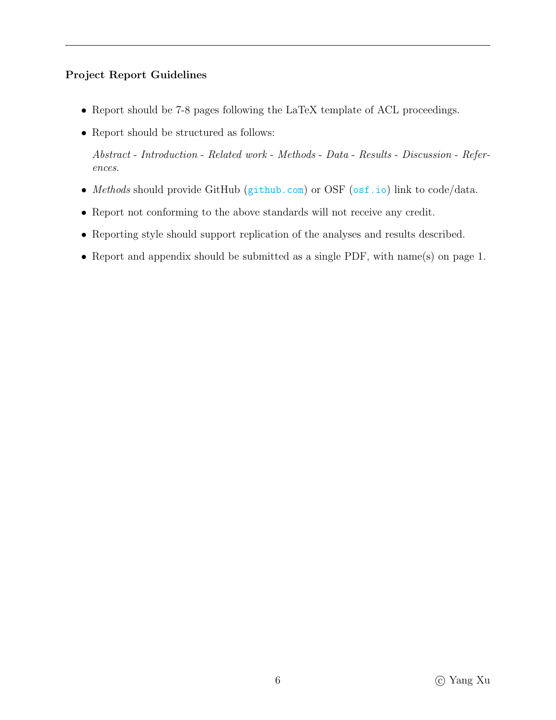### Project Report Guidelines

- Report should be 7-8 pages following the LaTeX template of ACL proceedings.
- Report should be structured as follows:

Abstract - Introduction - Related work - Methods - Data - Results - Discussion - References.

- Methods should provide GitHub (<github.com>) or OSF (<osf.io>) link to code/data.
- Report not conforming to the above standards will not receive any credit.
- Reporting style should support replication of the analyses and results described.
- Report and appendix should be submitted as a single PDF, with name(s) on page 1.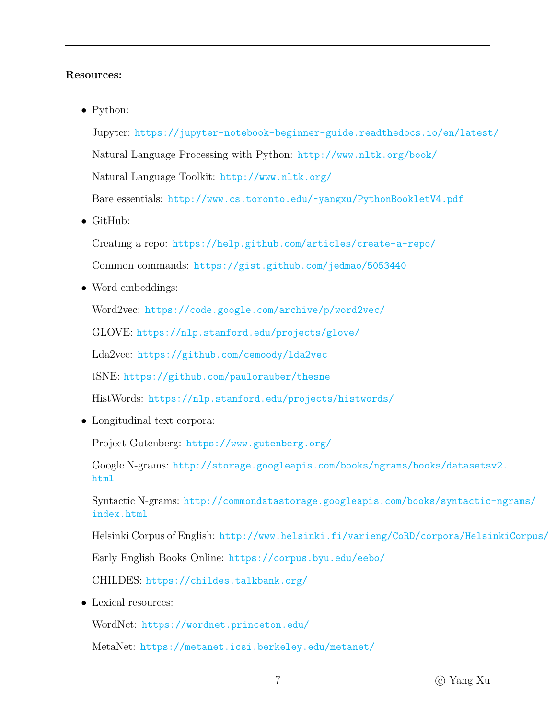#### Resources:

• Python:

Jupyter: <https://jupyter-notebook-beginner-guide.readthedocs.io/en/latest/> Natural Language Processing with Python: <http://www.nltk.org/book/> Natural Language Toolkit: <http://www.nltk.org/> Bare essentials: <http://www.cs.toronto.edu/~yangxu/PythonBookletV4.pdf>

• GitHub:

Creating a repo: <https://help.github.com/articles/create-a-repo/>

Common commands: <https://gist.github.com/jedmao/5053440>

• Word embeddings:

Word2vec: <https://code.google.com/archive/p/word2vec/>

GLOVE: <https://nlp.stanford.edu/projects/glove/>

Lda2vec: <https://github.com/cemoody/lda2vec>

tSNE: <https://github.com/paulorauber/thesne>

HistWords: <https://nlp.stanford.edu/projects/histwords/>

• Longitudinal text corpora:

Project Gutenberg: <https://www.gutenberg.org/>

Google N-grams: [http://storage.googleapis.com/books/ngrams/books/datasetsv](http://storage.googleapis.com/books/ngrams/books/datasetsv2.html)2. [html](http://storage.googleapis.com/books/ngrams/books/datasetsv2.html)

Syntactic N-grams: [http://commondatastorage.googleapis.com/books/syntactic-](http://commondatastorage.googleapis.com/books/syntactic-ngrams/index.html)ngrams/ [index.html](http://commondatastorage.googleapis.com/books/syntactic-ngrams/index.html)

Helsinki Corpus of English: <http://www.helsinki.fi/varieng/CoRD/corpora/HelsinkiCorpus/>

Early English Books Online: <https://corpus.byu.edu/eebo/>

CHILDES: <https://childes.talkbank.org/>

• Lexical resources:

WordNet: <https://wordnet.princeton.edu/>

MetaNet: <https://metanet.icsi.berkeley.edu/metanet/>